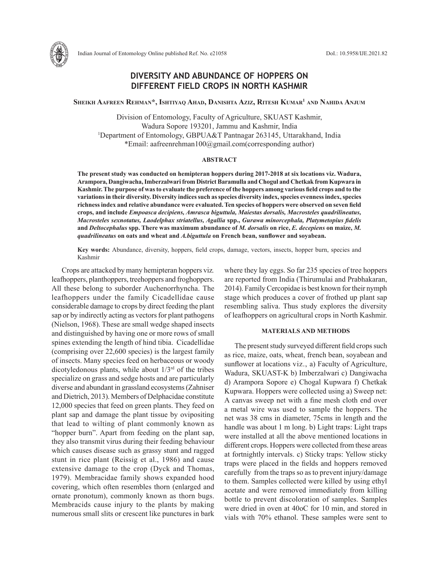

# **DIVERSITY AND ABUNDANCE OF HOPPERS ON DIFFERENT FIELD CROPS IN NORTH KASHMIR**

**Sheikh Aafreen Rehman\*, Ishtiyaq Ahad, Danishta Aziz, Ritesh Kumar1 and Nahida Anjum**

Division of Entomology, Faculty of Agriculture, SKUAST Kashmir, Wadura Sopore 193201, Jammu and Kashmir, India 1 Department of Entomology, GBPUA&T Pantnagar 263145, Uttarakhand, India \*Email: aafreenrehman100@gmail.com(corresponding author)

### **ABSTRACT**

**The present study was conducted on hemipteran hoppers during 2017-2018 at six locations viz. Wadura, Arampora, Dangiwacha, Imberzalwari from District Baramulla and Chogul and Chetkak from Kupwara in Kashmir. The purpose of was to evaluate the preference of the hoppers among various field crops and to the variations in their diversity. Diversity indices such as species diversity index, species evenness index, species richness index and relative abundance were evaluated. Ten species of hoppers were observed on seven field crops, and include** *Empoasca decipiens, Amrasca biguttula, Maiestas dorsalis, Macrosteles quadrilineatus, Macrosteles sexnotatus, Laodelphax striatellus, Agallia* **spp.,** *Gurawa minorcephala, Platymetopius fidelis* **and** *Deltocephalus* **spp. There was maximum abundance of** *M. dorsalis* **on rice,** *E. decepiens* **on maize,** *M. quadrilineatus* **on oats and wheat and** *A.biguttula* **on French bean, sunflower and soyabean.** 

**Key words:** Abundance, diversity, hoppers, field crops, damage, vectors, insects, hopper burn, species and Kashmir

Crops are attacked by many hemipteran hoppers viz*.*  leafhoppers, planthoppers, treehoppers and froghoppers. All these belong to suborder Auchenorrhyncha. The leafhoppers under the family Cicadellidae cause considerable damage to crops by direct feeding the plant sap or by indirectly acting as vectors for plant pathogens (Nielson, 1968). These are small wedge shaped insects and distinguished by having one or more rows of small spines extending the length of hind tibia. Cicadellidae (comprising over 22,600 species) is the largest family of insects. Many species feed on herbaceous or woody dicotyledonous plants, while about  $1/3^{rd}$  of the tribes specialize on grass and sedge hosts and are particularly diverse and abundant in grassland ecosystems (Zahniser and Dietrich, 2013). Members of Delphacidae constitute 12,000 species that feed on green plants. They feed on plant sap and damage the plant tissue by ovipositing that lead to wilting of plant commonly known as "hopper burn". Apart from feeding on the plant sap, they also transmit virus during their feeding behaviour which causes disease such as grassy stunt and ragged stunt in rice plant (Reissig et al., 1986) and cause extensive damage to the crop (Dyck and Thomas, 1979). Membracidae family shows expanded hood covering, which often resembles thorn (enlarged and ornate pronotum), commonly known as thorn bugs. Membracids cause injury to the plants by making numerous small slits or crescent like punctures in bark where they lay eggs. So far 235 species of tree hoppers are reported from India (Thirumulai and Prabhakaran, 2014). Family Cercopidae is best known for their nymph stage which produces a cover of frothed up plant sap resembling saliva. Thus study explores the diversity of leafhoppers on agricultural crops in North Kashmir.

## **MATERIALS AND METHODS**

The present study surveyed different field crops such as rice, maize, oats, wheat, french bean, soyabean and sunflower at locations viz., a) Faculty of Agriculture, Wadura, SKUAST-K b) Imberzalwari c) Dangiwacha d) Arampora Sopore e) Chogal Kupwara f) Chetkak Kupwara. Hoppers were collected using a) Sweep net: A canvas sweep net with a fine mesh cloth end over a metal wire was used to sample the hoppers. The net was 38 cms in diameter, 75cms in length and the handle was about 1 m long. b) Light traps: Light traps were installed at all the above mentioned locations in different crops. Hoppers were collected from these areas at fortnightly intervals. c) Sticky traps: Yellow sticky traps were placed in the fields and hoppers removed carefully from the traps so as to prevent injury/damage to them. Samples collected were killed by using ethyl acetate and were removed immediately from killing bottle to prevent discoloration of samples. Samples were dried in oven at 40oC for 10 min, and stored in vials with 70% ethanol. These samples were sent to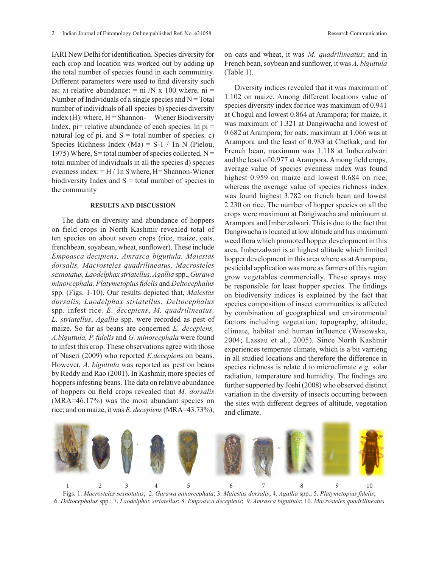IARI New Delhi for identification. Species diversity for each crop and location was worked out by adding up the total number of species found in each community. Different parameters were used to find diversity such as: a) relative abundance:  $= ni/N \times 100$  where,  $ni =$ Number of Individuals of a single species and  $N = Total$ humber of individuals of all species b) species diversity index  $(H)$ : where,  $H =$  Shannon- Wiener Biodiversity at Chogui and lowest 0.864 at Arampora, for Index, pi= relative abundance of each species. In pi = was maximum of 1.321 at Dangivacha and natural log of pi. and  $S =$  total number of species. c) Species Richness Index (Ma) =  $S-1 / 1n$  N (Pielou, 1975) Where, S= total number of species collected,  $N =$  $t_1, t_2, t_3, t_4, t_5, t_6, t_7, t_8, t_9, t_1, t_1, t_2, t_3, t_1, t_1, t_2, t_3, t_4, t_1, t_2, t_3, t_4, t_1, t_2, t_3, t_4, t_5, t_6, t_7, t_8, t_9, t_1, t_1, t_2, t_3, t_4, t_6, t_7, t_8, t_9, t_1, t_1, t_2, t_3, t_4, t_6, t_1, t_1, t_2, t_3, t_4, t_6, t_1, t_2, t_3,$ evenness index: = H / 1n S where, H= Shannon-Wiener biodiversity Index and  $S =$  total number of species in the community

# **RESULTS AND DISCUSSION** 2.230

The data on diversity and abundance of hoppers on field crops in North Kashmir revealed total of Dang ten species on about seven crops (rice, maize, oats, weed flora wh frenchbean, soyabean, wheat, sunflower). These include Empoasca decipiens, Amrasca biguttula, Maiestas k<sub>hoppel</sub> *dorsalis, Macrosteles quadrilineatus, Macrosteles*  sexnotatus, Laodelphax striatellus, Agallia spp., Gurawa and some relations commercially. These spi minorcephala, Platymetopius fidelis and *Deltocephalus* be responsible. spp. (Figs. 1-10). Our results depicted that, *Maiestas* on hiodiversity indices is explained by the *dorsalis, Laodelphax striatellus, Deltocephalus* species compositions species composition of misect communities is<br>spp. infest rice. *E. decepiens, M. quadrilineatus,* by combination of geographical and enviro *L. striatellus, Agallia spp.* were recorded as pest of factors including vegetation maize. So far as beans are concerned *E. decepiens,* climate, habitat and indicated the India, Chennai. pp. 2011. *A.biguttula, P. fidelis* and *G. minorcephala* were found to infest this crop. These observations agree with those of Naseri (2009) who reported *E.decepiens* on beans. in all studie However, *A*. *biguttula* was reported as pest on beans by Reddy and Rao (2001). In Kashmir, more species of  $\frac{1}{\text{radiation}}$  temperature and hur hoppers infesting beans. The data on relative abundance  $\frac{M_{\text{at}}}{M_{\text{at}}}$  received by  $\frac{M_{\text{at}}}{M_{\text{at}}}$ of hoppers on field crops revealed that *M. dorsalis* variation in the diversity of in- $(MRA=46.17%)$  was the most abundant species on  $H<sub>ee</sub>$  in the diversity of filsed (MRA $=46.17\%$ ) was the most abundant species on rice; and on maize, it was *E. decepiens* (MRA=43.73%);

on oats and wheat, it was *M. quadrilineatus*; and in French bean, soybean and sunflower, it was *A. biguttula*  (Table 1).

Diversity indices revealed that it was maximum of c abundance.  $-\ln$  /N X 100 where,  $\ln$  -<br>dividuals of a single species and N = Total 1.102 on maize. Among different locations value of species diversity index for rice was maximum of 0.941 at Chogul and lowest 0.864 at Arampora; for maize, it was maximum of 1.321 at Dangiwacha and lowest of 0.682 at Arampora; for oats, maximum at 1.066 was at  $\sum_{\text{ness Index}}^{\text{1}}$  (Ma) = S-1 / 1n N (Pielou) Arampora and the least of 0.983 at Chetkak; and for  $=$ total number of species collected  $N =$  French bean, maximum was 1.118 at Imberzalwari and the least of 0.977 at Arampora. Among field crops,  $\alpha$  = H/1n S where H= Shannon-Wiener average value of species evenness index was found  $\frac{1}{\log \alpha}$  and S = total number of species in dighest 0.959 on maize and lowest 0.684 on rice, whereas the average value of species richness index Whereas the average value of species from the measurement was found highest 3.782 on french bean and lowest <sup>2</sup> was found inglest 3.762 on neith bean and fowest<br>
SULTS AND DISCUSSION 2.230 on rice. The number of hopper species on all the crops were maximum at Dangiwacha and minimum at on diversity and abundance of homors all diversity and abundance of noppers Arampora and Imberzalwari. This is due to the fact that  $\frac{1}{2}$  Department of the states of  $\frac{1}{2}$ Dangiwacha is located at low altitude and has maximum weed flora which promoted hopper development in this oyabean, wheat, sunflower). These include area. Imberzalwari is at highest altitude which limited hopper development in this area where as at Arampora, acrosteles quadrilineatus, Macrosteles pesticidal application was more as farmers of this region grow vegetables commercially. These sprays may be responsible for least hopper species. The findings on biodiversity indices is explained by the fact that species composition of insect communities is affected by combination of geographical and environmental  $T<sub>s</sub>$  Againa spp. were recorded as pest of factors including vegetation, topography, altitude, climate, habitat and human influence (Wasowska, *P. naells* and G. *minorcephala* were found  $2004$ ; Lassau et al., 2005). Since North Kashmir p. These observations agree with those experiences temperate climate, which is a bit varrieng in all studied locations and therefore the difference in biguttula was reported as pest on beans species richness is relate d to microclimate *e.g.* solar radiation, temperature and humidity. The findings are further supported by Joshi (2008) who observed distinct variation in the diversity of insects occurring between the sites with different degrees of altitude, vegetation and climate.



Figs. 1. *Macrosteles sexnotatus*;2. *Gurawa minorcephala*; 3. *Maiestas dorsalis*; 4. *Agallia* spp.; 5. *Platymetopius fidelis*; 6. Deltocephalus spp.; 7. Laodelphax striatellus; 8. Empoasca decepiens; 9. Amrasca biguttula; 10. Macrosteles quadrilineatus  $\alpha$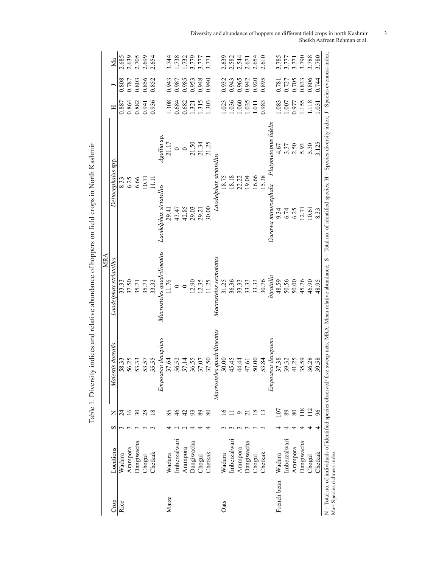| Crop        | Locations    | ∽ | Z               | Maiestis dorsalis                                      | <b>MRA</b><br>Laodelphax striatellus                                     | Deltocephalus spp                     |                            | Ξ                                                                                    |                                  | Мa                                        |
|-------------|--------------|---|-----------------|--------------------------------------------------------|--------------------------------------------------------------------------|---------------------------------------|----------------------------|--------------------------------------------------------------------------------------|----------------------------------|-------------------------------------------|
|             |              |   |                 |                                                        |                                                                          |                                       |                            |                                                                                      |                                  |                                           |
| Rice        | Wadura       |   | 24              | 58.33                                                  |                                                                          |                                       |                            | 0.887                                                                                | 0.808                            | 2.685                                     |
|             | Arampora     |   | $\overline{16}$ |                                                        |                                                                          |                                       |                            | 0.864                                                                                |                                  |                                           |
|             | Dangiwacha   |   | 30              |                                                        |                                                                          | 8.33<br>6.36<br>6.66                  |                            |                                                                                      |                                  |                                           |
|             | Chogul       |   | 28              |                                                        |                                                                          | 10.71                                 |                            | 0.882<br>0.941<br>0.936                                                              | 0.787<br>0.803<br>0.856          |                                           |
|             | Chetkak      |   | $\frac{8}{10}$  | 56.25<br>53.35<br>53.57<br>55.55                       | $\begin{array}{c} 33.33 \\ 37.50 \\ 35.71 \\ 35.71 \\ 33.33 \end{array}$ | $\Xi$                                 |                            |                                                                                      | 0.852                            | 2.639<br>2.705<br>2.699<br>2.654          |
|             |              |   |                 | Empoasca decepiens                                     | Macrosteles quadrilineatus                                               | Laodelphax striatellus                | Agallia sp.                |                                                                                      |                                  |                                           |
| Maize       | Wadura       |   | 85              | 37.64                                                  | 11.76                                                                    | 29.41                                 | 21.17                      |                                                                                      |                                  |                                           |
|             | Imberzalwari |   | $\frac{4}{6}$   |                                                        | $\circ$                                                                  |                                       |                            | $\begin{array}{c} 1.308 \\ 0.684 \\ 0.682 \\ 1.321 \\ 1.315 \\ 1.303 \end{array}$    | 856<br>0.987<br>286.00<br>0.948  | 3.744<br>1.738<br>1.732<br>3.777<br>3.771 |
|             | Arampora     |   | $4^{\circ}$     |                                                        |                                                                          |                                       | $\circ$                    |                                                                                      |                                  |                                           |
|             | Dangiwacha   |   | 93              | 56.52<br>57.14<br>56.55<br>37.07                       |                                                                          | $43.47$<br>$42.85$<br>$29.03$         | 21.50<br>21.34<br>21.25    |                                                                                      |                                  |                                           |
|             | Chogul       |   | 89              |                                                        |                                                                          | 29.21                                 |                            |                                                                                      |                                  |                                           |
|             | Chetkak      |   | 80              | 87.50                                                  | $\frac{12.90}{11.25}$                                                    | 30.00                                 |                            |                                                                                      | 0.940                            |                                           |
|             |              |   |                 | <i>quadrilineatus</i><br>Macrosteles                   | Macrosteles sexnotatus                                                   | Laodelphax striatellus                |                            |                                                                                      |                                  |                                           |
| Oats        | Wadura       |   | ≌               | 50.00                                                  |                                                                          | 18.75                                 |                            |                                                                                      |                                  |                                           |
|             | Imberzalwari |   |                 |                                                        |                                                                          | 18.18                                 |                            |                                                                                      |                                  |                                           |
|             | Arampora     |   | Ó               |                                                        |                                                                          |                                       |                            |                                                                                      |                                  |                                           |
|             | Dangiwacha   |   |                 | $\begin{array}{c} 454 \\ 440 \\ 440 \\ 60 \end{array}$ | 31.25<br>36.36<br>36.31<br>30.76<br>30.31                                | 22.22<br>19.04<br>16.66<br>15.38      |                            | $\begin{array}{c} 1.023 \\ 1.036 \\ 1.060 \\ 1.035 \\ 1.011 \\ 1.011 \\ \end{array}$ | 0.932<br>0.943<br>0.942<br>0.942 | 2.639<br>2.582<br>2.544<br>2.654<br>2.610 |
|             | Chogul       |   | $\approx$       |                                                        |                                                                          |                                       |                            |                                                                                      |                                  |                                           |
|             | Chetkak      |   | $\mathbf{C}$    | 53.84                                                  |                                                                          |                                       |                            | 0.983                                                                                | 0.895                            |                                           |
|             |              |   |                 | Empoasca decepiens                                     | bigutulla                                                                | Gurawa minorcephala                   | Platymetopius fidelis      |                                                                                      |                                  |                                           |
| French bean | Wadura       |   | 107             | 37.38                                                  | 48.59                                                                    |                                       | 4.67                       | 1.083                                                                                |                                  |                                           |
|             | Imberzalwari |   | 89              |                                                        | 50.56<br>50.06<br>50.95<br>48.95                                         | 9.34<br>6.25<br>9.01<br>9.01<br>10.61 |                            | 1.007<br>0.977                                                                       | 0.781<br>0.727<br>0.705          | 3.785<br>3.777<br>3.790<br>3.788          |
|             | Arampora     |   | $\rm 80$        |                                                        |                                                                          |                                       |                            |                                                                                      |                                  |                                           |
|             | Dangiwacha   |   | 118             | 39.32<br>41.25<br>35.59                                |                                                                          |                                       | $3.37$<br>$2.50$<br>$5.93$ | 1.155                                                                                | 0.833<br>0.806                   |                                           |
|             | Chogul       |   | $\frac{2}{1}$   | 86.28                                                  |                                                                          |                                       | 5.30                       |                                                                                      |                                  |                                           |
|             | Chetkak      |   | 96              | 89.58                                                  |                                                                          | 8.33                                  | 3.125                      | 1.031                                                                                | 0.744                            | 3.780                                     |

Table 1. Diversity indices and relative abundance of hoppers on field crops in North Kashmir Table 1. Diversity indices and relative abundance of hoppers on field crops in North Kashmir Diversity and abundance of hoppers on different field crops in north Kashmir 3 Sheikh Aafreen Rehman et al.